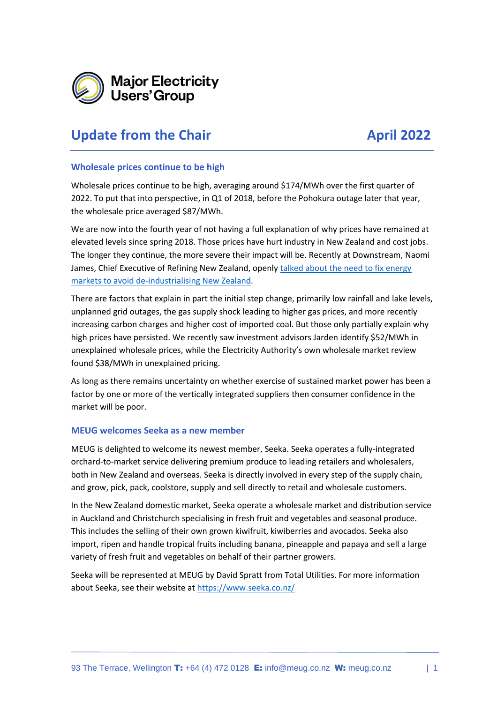

# **Update from the Chair April 2022**

#### **Wholesale prices continue to be high**

Wholesale prices continue to be high, averaging around \$174/MWh over the first quarter of 2022. To put that into perspective, in Q1 of 2018, before the Pohokura outage later that year, the wholesale price averaged \$87/MWh.

We are now into the fourth year of not having a full explanation of why prices have remained at elevated levels since spring 2018. Those prices have hurt industry in New Zealand and cost jobs. The longer they continue, the more severe their impact will be. Recently at Downstream, Naomi James, Chief Executive of Refining New Zealand, openly talked about the need to fix energy [markets to avoid de-industrialising New Zealand.](https://www.energynews.co.nz/news/electricity/117683/industry-risk-energy-transition?utm_source=newsletter&utm_medium=email&utm_campaign=energy-news-newsletter)

There are factors that explain in part the initial step change, primarily low rainfall and lake levels, unplanned grid outages, the gas supply shock leading to higher gas prices, and more recently increasing carbon charges and higher cost of imported coal. But those only partially explain why high prices have persisted. We recently saw investment advisors Jarden identify \$52/MWh in unexplained wholesale prices, while the Electricity Authority's own wholesale market review found \$38/MWh in unexplained pricing.

As long as there remains uncertainty on whether exercise of sustained market power has been a factor by one or more of the vertically integrated suppliers then consumer confidence in the market will be poor.

#### **MEUG welcomes Seeka as a new member**

MEUG is delighted to welcome its newest member, Seeka. Seeka operates a fully-integrated orchard-to-market service delivering premium produce to leading retailers and wholesalers, both in New Zealand and overseas. Seeka is directly involved in every step of the supply chain, and grow, pick, pack, coolstore, supply and sell directly to retail and wholesale customers.

In the New Zealand domestic market, Seeka operate a wholesale market and distribution service in Auckland and Christchurch specialising in fresh fruit and vegetables and seasonal produce. This includes the selling of their own grown kiwifruit, kiwiberries and avocados. Seeka also import, ripen and handle tropical fruits including banana, pineapple and papaya and sell a large variety of fresh fruit and vegetables on behalf of their partner growers.

Seeka will be represented at MEUG by David Spratt from Total Utilities. For more information about Seeka, see their website at<https://www.seeka.co.nz/>